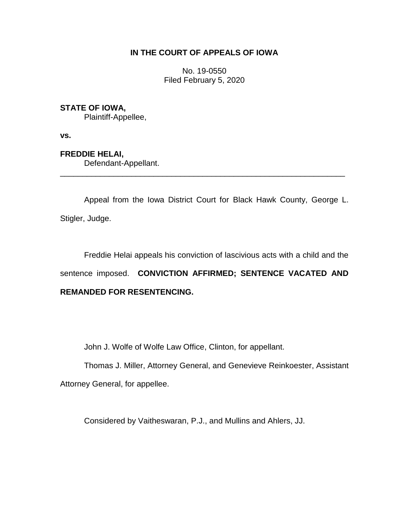## **IN THE COURT OF APPEALS OF IOWA**

No. 19-0550 Filed February 5, 2020

## **STATE OF IOWA,**

Plaintiff-Appellee,

**vs.**

**FREDDIE HELAI,** Defendant-Appellant.

Appeal from the Iowa District Court for Black Hawk County, George L. Stigler, Judge.

\_\_\_\_\_\_\_\_\_\_\_\_\_\_\_\_\_\_\_\_\_\_\_\_\_\_\_\_\_\_\_\_\_\_\_\_\_\_\_\_\_\_\_\_\_\_\_\_\_\_\_\_\_\_\_\_\_\_\_\_\_\_\_\_

Freddie Helai appeals his conviction of lascivious acts with a child and the sentence imposed. **CONVICTION AFFIRMED; SENTENCE VACATED AND REMANDED FOR RESENTENCING.**

John J. Wolfe of Wolfe Law Office, Clinton, for appellant.

Thomas J. Miller, Attorney General, and Genevieve Reinkoester, Assistant Attorney General, for appellee.

Considered by Vaitheswaran, P.J., and Mullins and Ahlers, JJ.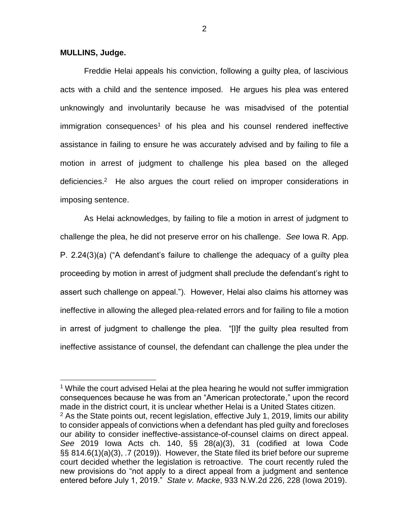## **MULLINS, Judge.**

 $\overline{a}$ 

Freddie Helai appeals his conviction, following a guilty plea, of lascivious acts with a child and the sentence imposed. He argues his plea was entered unknowingly and involuntarily because he was misadvised of the potential  $imm$ igration consequences<sup>1</sup> of his plea and his counsel rendered ineffective assistance in failing to ensure he was accurately advised and by failing to file a motion in arrest of judgment to challenge his plea based on the alleged deficiencies.<sup>2</sup> He also argues the court relied on improper considerations in imposing sentence.

As Helai acknowledges, by failing to file a motion in arrest of judgment to challenge the plea, he did not preserve error on his challenge. *See* Iowa R. App. P. 2.24(3)(a) ("A defendant's failure to challenge the adequacy of a guilty plea proceeding by motion in arrest of judgment shall preclude the defendant's right to assert such challenge on appeal."). However, Helai also claims his attorney was ineffective in allowing the alleged plea-related errors and for failing to file a motion in arrest of judgment to challenge the plea. "[I]f the guilty plea resulted from ineffective assistance of counsel, the defendant can challenge the plea under the

<sup>1</sup> While the court advised Helai at the plea hearing he would not suffer immigration consequences because he was from an "American protectorate," upon the record made in the district court, it is unclear whether Helai is a United States citizen.  $2$  As the State points out, recent legislation, effective July 1, 2019, limits our ability to consider appeals of convictions when a defendant has pled guilty and forecloses our ability to consider ineffective-assistance-of-counsel claims on direct appeal. *See* 2019 Iowa Acts ch. 140, §§ 28(a)(3), 31 (codified at Iowa Code §§ 814.6(1)(a)(3), .7 (2019)). However, the State filed its brief before our supreme court decided whether the legislation is retroactive. The court recently ruled the new provisions do "not apply to a direct appeal from a judgment and sentence entered before July 1, 2019." *State v. Macke*, 933 N.W.2d 226, 228 (Iowa 2019).

2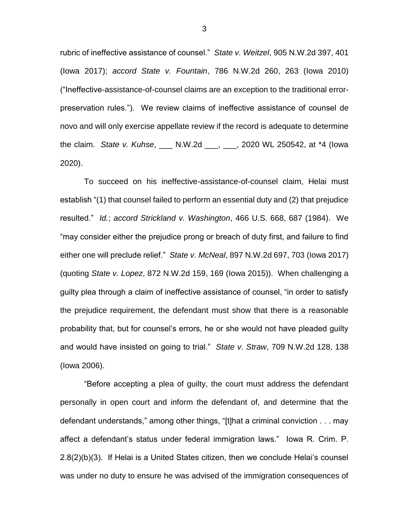rubric of ineffective assistance of counsel." *State v. Weitzel*, 905 N.W.2d 397, 401 (Iowa 2017); *accord State v. Fountain*, 786 N.W.2d 260, 263 (Iowa 2010) ("Ineffective-assistance-of-counsel claims are an exception to the traditional errorpreservation rules."). We review claims of ineffective assistance of counsel de novo and will only exercise appellate review if the record is adequate to determine the claim. *State v. Kuhse*, \_\_\_ N.W.2d \_\_\_, \_\_\_, 2020 WL 250542, at \*4 (Iowa 2020).

To succeed on his ineffective-assistance-of-counsel claim, Helai must establish "(1) that counsel failed to perform an essential duty and (2) that prejudice resulted." *Id.*; *accord Strickland v. Washington*, 466 U.S. 668, 687 (1984). We "may consider either the prejudice prong or breach of duty first, and failure to find either one will preclude relief." *State v. McNeal*, 897 N.W.2d 697, 703 (Iowa 2017) (quoting *State v. Lopez*, 872 N.W.2d 159, 169 (Iowa 2015)). When challenging a guilty plea through a claim of ineffective assistance of counsel, "in order to satisfy the prejudice requirement, the defendant must show that there is a reasonable probability that, but for counsel's errors, he or she would not have pleaded guilty and would have insisted on going to trial." *State v. Straw*, 709 N.W.2d 128, 138 (Iowa 2006).

"Before accepting a plea of guilty, the court must address the defendant personally in open court and inform the defendant of, and determine that the defendant understands," among other things, "[t]hat a criminal conviction . . . may affect a defendant's status under federal immigration laws." Iowa R. Crim. P. 2.8(2)(b)(3). If Helai is a United States citizen, then we conclude Helai's counsel was under no duty to ensure he was advised of the immigration consequences of

3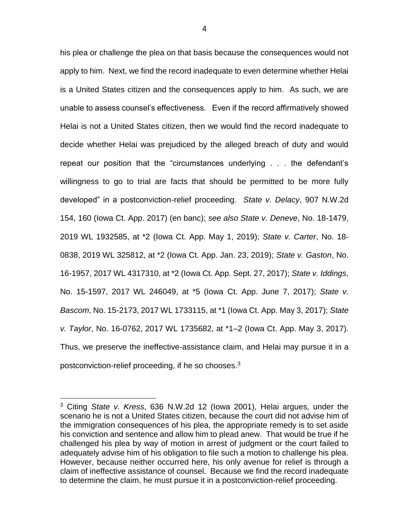his plea or challenge the plea on that basis because the consequences would not apply to him. Next, we find the record inadequate to even determine whether Helai is a United States citizen and the consequences apply to him. As such, we are unable to assess counsel's effectiveness. Even if the record affirmatively showed Helai is not a United States citizen, then we would find the record inadequate to decide whether Helai was prejudiced by the alleged breach of duty and would repeat our position that the "circumstances underlying . . . the defendant's willingness to go to trial are facts that should be permitted to be more fully developed" in a postconviction-relief proceeding. *State v. Delacy*, 907 N.W.2d 154, 160 (Iowa Ct. App. 2017) (en banc); *see also State v. Deneve*, No. 18-1479, 2019 WL 1932585, at \*2 (Iowa Ct. App. May 1, 2019); *State v. Carter*, No. 18- 0838, 2019 WL 325812, at \*2 (Iowa Ct. App. Jan. 23, 2019); *State v. Gaston*, No. 16-1957, 2017 WL 4317310, at \*2 (Iowa Ct. App. Sept. 27, 2017); *State v. Iddings*, No. 15-1597, 2017 WL 246049, at \*5 (Iowa Ct. App. June 7, 2017); *State v. Bascom*, No. 15-2173, 2017 WL 1733115, at \*1 (Iowa Ct. App. May 3, 2017); *State v. Taylor*, No. 16-0762, 2017 WL 1735682, at \*1–2 (Iowa Ct. App. May 3, 2017). Thus, we preserve the ineffective-assistance claim, and Helai may pursue it in a postconviction-relief proceeding, if he so chooses.<sup>3</sup>

 $\overline{a}$ 

<sup>3</sup> Citing *State v. Kress*, 636 N.W.2d 12 (Iowa 2001), Helai argues, under the scenario he is not a United States citizen, because the court did not advise him of the immigration consequences of his plea, the appropriate remedy is to set aside his conviction and sentence and allow him to plead anew. That would be true if he challenged his plea by way of motion in arrest of judgment or the court failed to adequately advise him of his obligation to file such a motion to challenge his plea. However, because neither occurred here, his only avenue for relief is through a claim of ineffective assistance of counsel. Because we find the record inadequate to determine the claim, he must pursue it in a postconviction-relief proceeding.